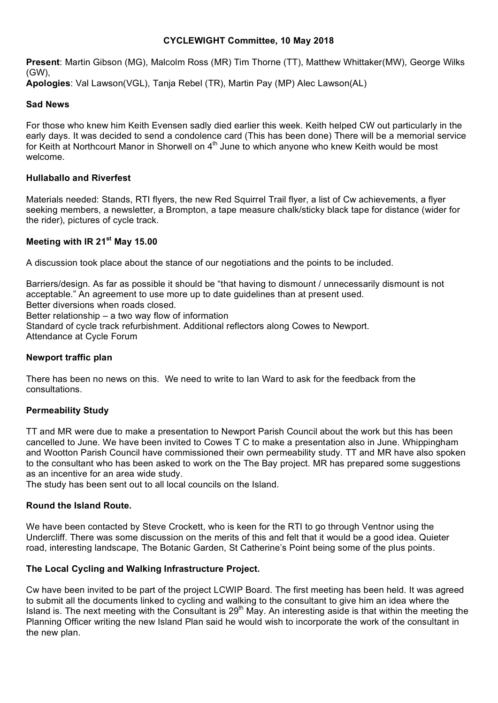#### **CYCLEWIGHT Committee, 10 May 2018**

**Present**: Martin Gibson (MG), Malcolm Ross (MR) Tim Thorne (TT), Matthew Whittaker(MW), George Wilks (GW),

**Apologies**: Val Lawson(VGL), Tanja Rebel (TR), Martin Pay (MP) Alec Lawson(AL)

# **Sad News**

For those who knew him Keith Evensen sadly died earlier this week. Keith helped CW out particularly in the early days. It was decided to send a condolence card (This has been done) There will be a memorial service for Keith at Northcourt Manor in Shorwell on  $4<sup>th</sup>$  June to which anyone who knew Keith would be most welcome.

## **Hullaballo and Riverfest**

Materials needed: Stands, RTI flyers, the new Red Squirrel Trail flyer, a list of Cw achievements, a flyer seeking members, a newsletter, a Brompton, a tape measure chalk/sticky black tape for distance (wider for the rider), pictures of cycle track.

## **Meeting with IR 21st May 15.00**

A discussion took place about the stance of our negotiations and the points to be included.

Barriers/design. As far as possible it should be "that having to dismount / unnecessarily dismount is not acceptable." An agreement to use more up to date guidelines than at present used. Better diversions when roads closed.

Better relationship – a two way flow of information

Standard of cycle track refurbishment. Additional reflectors along Cowes to Newport.

Attendance at Cycle Forum

## **Newport traffic plan**

There has been no news on this. We need to write to Ian Ward to ask for the feedback from the consultations.

## **Permeability Study**

TT and MR were due to make a presentation to Newport Parish Council about the work but this has been cancelled to June. We have been invited to Cowes T C to make a presentation also in June. Whippingham and Wootton Parish Council have commissioned their own permeability study. TT and MR have also spoken to the consultant who has been asked to work on the The Bay project. MR has prepared some suggestions as an incentive for an area wide study.

The study has been sent out to all local councils on the Island.

## **Round the Island Route.**

We have been contacted by Steve Crockett, who is keen for the RTI to go through Ventnor using the Undercliff. There was some discussion on the merits of this and felt that it would be a good idea. Quieter road, interesting landscape, The Botanic Garden, St Catherine's Point being some of the plus points.

## **The Local Cycling and Walking Infrastructure Project.**

Cw have been invited to be part of the project LCWIP Board. The first meeting has been held. It was agreed to submit all the documents linked to cycling and walking to the consultant to give him an idea where the Island is. The next meeting with the Consultant is  $29<sup>th</sup>$  May. An interesting aside is that within the meeting the Planning Officer writing the new Island Plan said he would wish to incorporate the work of the consultant in the new plan.